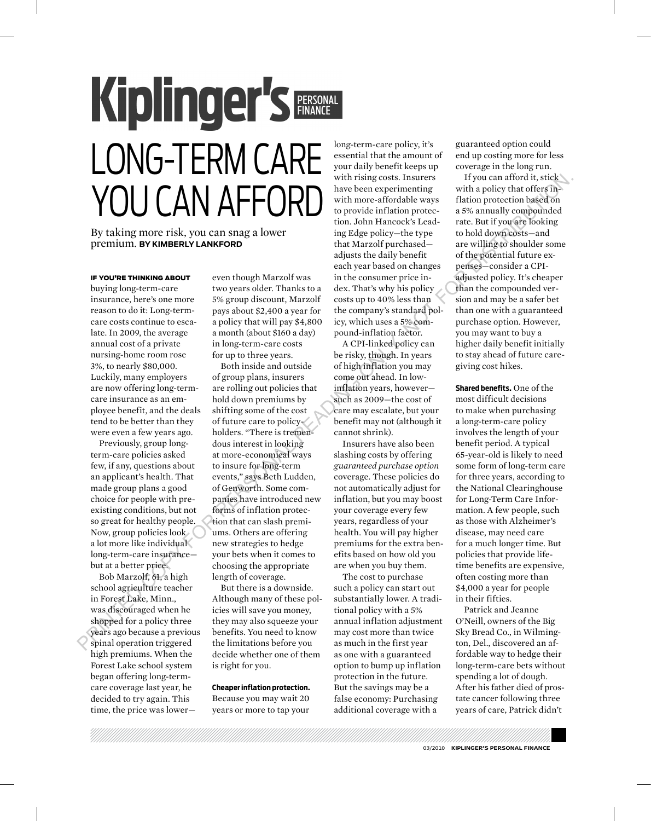# Kiplinger's PERSONAL Long-Term Care you can afford

By taking more risk, you can snag a lower premium. **By Kimberly Lankford**

#### if you're thinking about

buying long-term-care insurance, here's one more reason to do it: Long-termcare costs continue to escalate. In 2009, the average annual cost of a private nursing-home room rose 3%, to nearly \$80,000. Luckily, many employers are now offering long-termcare insurance as an employee benefit, and the deals tend to be better than they were even a few years ago.

Previously, group longterm-care policies asked few, if any, questions about an applicant's health. That made group plans a good choice for people with preexisting conditions, but not so great for healthy people. Now, group policies look a lot more like individual long-term-care insurance but at a better price.

Bob Marzolf, 61, a high school agriculture teacher in Forest Lake, Minn., was discouraged when he shopped for a policy three years ago because a previous spinal operation triggered high premiums. When the Forest Lake school system began offering long-termcare coverage last year, he decided to try again. This time, the price was lowereven though Marzolf was two years older. Thanks to a 5% group discount, Marzolf pays about \$2,400 a year for a policy that will pay \$4,800 a month (about \$160 a day) in long-term-care costs for up to three years.

Both inside and outside of group plans, insurers are rolling out policies that hold down premiums by shifting some of the cost of future care to policyholders. "There is tremendous interest in looking at more-economical ways to insure for long-term events," says Beth Ludden, of Genworth. Some companies have introduced new forms of inflation protection that can slash premiums. Others are offering new strategies to hedge your bets when it comes to choosing the appropriate length of coverage. **PRODUCT The CONFERENCE SUPPRESS, The substitution is a consideration of the consideration of the substitution of the substitution of the substitution of the substitution of the substitution of the substitution of the sub** 

But there is a downside. Although many of these policies will save you money, they may also squeeze your benefits. You need to know the limitations before you decide whether one of them is right for you.

#### **Cheaper inflation protection.**

Because you may wait 20 years or more to tap your long-term-care policy, it's essential that the amount of your daily benefit keeps up with rising costs. Insurers have been experimenting with more-affordable ways to provide inflation protection. John Hancock's Leading Edge policy—the type that Marzolf purchased adjusts the daily benefit each year based on changes in the consumer price index. That's why his policy costs up to 40% less than the company's standard policy, which uses a 5% compound-inflation factor.

A CPI-linked policy can be risky, though. In years of high inflation you may come out ahead. In lowinflation years, however such as 2009—the cost of care may escalate, but your benefit may not (although it cannot shrink).

Insurers have also been slashing costs by offering *guaranteed purchase option* coverage. These policies do not automatically adjust for inflation, but you may boost your coverage every few years, regardless of your health. You will pay higher premiums for the extra benefits based on how old you are when you buy them.

The cost to purchase such a policy can start out substantially lower. A traditional policy with a 5% annual inflation adjustment may cost more than twice as much in the first year as one with a guaranteed option to bump up inflation protection in the future. But the savings may be a false economy: Purchasing additional coverage with a

guaranteed option could end up costing more for less coverage in the long run.

If you can afford it, stick with a policy that offers inflation protection based on a 5% annually compounded rate. But if you are looking to hold down costs—and are willing to shoulder some of the potential future expenses—consider a CPIadjusted policy. It's cheaper than the compounded version and may be a safer bet than one with a guaranteed purchase option. However, you may want to buy a higher daily benefit initially to stay ahead of future caregiving cost hikes.

**Shared benefits.** One of the most difficult decisions to make when purchasing a long-term-care policy involves the length of your benefit period. A typical 65-year-old is likely to need some form of long-term care for three years, according to the National Clearinghouse for Long-Term Care Information. A few people, such as those with Alzheimer's disease, may need care for a much longer time. But policies that provide lifetime benefits are expensive, often costing more than \$4,000 a year for people in their fifties.

Patrick and Jeanne O'Neill, owners of the Big Sky Bread Co., in Wilmington, Del., discovered an affordable way to hedge their long-term-care bets without spending a lot of dough. After his father died of prostate cancer following three years of care, Patrick didn't